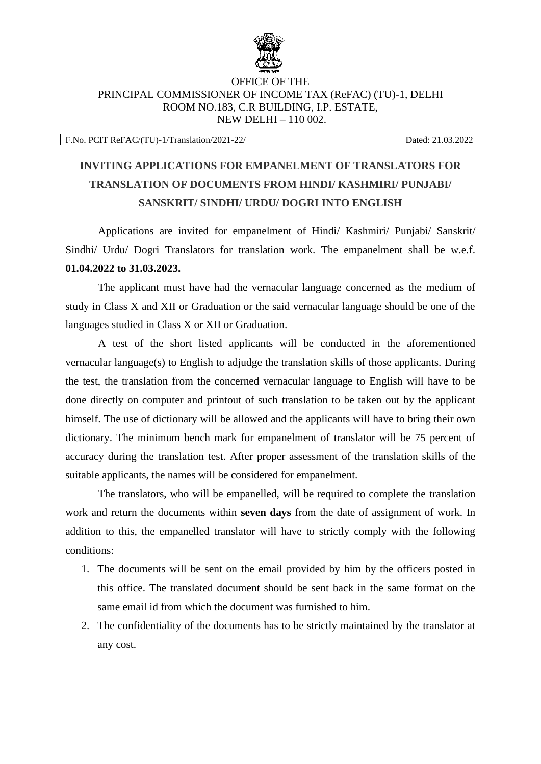

## OFFICE OF THE PRINCIPAL COMMISSIONER OF INCOME TAX (ReFAC) (TU)-1, DELHI ROOM NO.183, C.R BUILDING, I.P. ESTATE, NEW DELHI – 110 002.

F.No. PCIT ReFAC/(TU)-1/Translation/2021-22/ Dated: 21.03.2022

## **INVITING APPLICATIONS FOR EMPANELMENT OF TRANSLATORS FOR TRANSLATION OF DOCUMENTS FROM HINDI/ KASHMIRI/ PUNJABI/ SANSKRIT/ SINDHI/ URDU/ DOGRI INTO ENGLISH**

Applications are invited for empanelment of Hindi/ Kashmiri/ Punjabi/ Sanskrit/ Sindhi/ Urdu/ Dogri Translators for translation work. The empanelment shall be w.e.f. **01.04.2022 to 31.03.2023.** 

The applicant must have had the vernacular language concerned as the medium of study in Class X and XII or Graduation or the said vernacular language should be one of the languages studied in Class X or XII or Graduation.

A test of the short listed applicants will be conducted in the aforementioned vernacular language(s) to English to adjudge the translation skills of those applicants. During the test, the translation from the concerned vernacular language to English will have to be done directly on computer and printout of such translation to be taken out by the applicant himself. The use of dictionary will be allowed and the applicants will have to bring their own dictionary. The minimum bench mark for empanelment of translator will be 75 percent of accuracy during the translation test. After proper assessment of the translation skills of the suitable applicants, the names will be considered for empanelment.

The translators, who will be empanelled, will be required to complete the translation work and return the documents within **seven days** from the date of assignment of work. In addition to this, the empanelled translator will have to strictly comply with the following conditions:

- 1. The documents will be sent on the email provided by him by the officers posted in this office. The translated document should be sent back in the same format on the same email id from which the document was furnished to him.
- 2. The confidentiality of the documents has to be strictly maintained by the translator at any cost.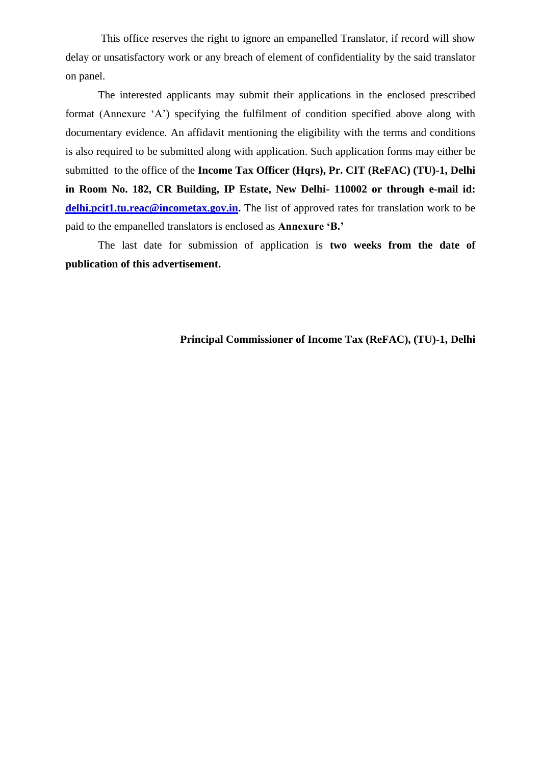This office reserves the right to ignore an empanelled Translator, if record will show delay or unsatisfactory work or any breach of element of confidentiality by the said translator on panel.

The interested applicants may submit their applications in the enclosed prescribed format (Annexure 'A') specifying the fulfilment of condition specified above along with documentary evidence. An affidavit mentioning the eligibility with the terms and conditions is also required to be submitted along with application. Such application forms may either be submitted to the office of the **Income Tax Officer (Hqrs), Pr. CIT (ReFAC) (TU)-1, Delhi in Room No. 182, CR Building, IP Estate, New Delhi- 110002 or through e-mail id: [delhi.pcit1.tu.reac@incometax.gov.in.](mailto:delhi.pcit1.tu.reac@incometax.gov.in)** The list of approved rates for translation work to be paid to the empanelled translators is enclosed as **Annexure 'B.'**

The last date for submission of application is **two weeks from the date of publication of this advertisement.**

## **Principal Commissioner of Income Tax (ReFAC), (TU)-1, Delhi**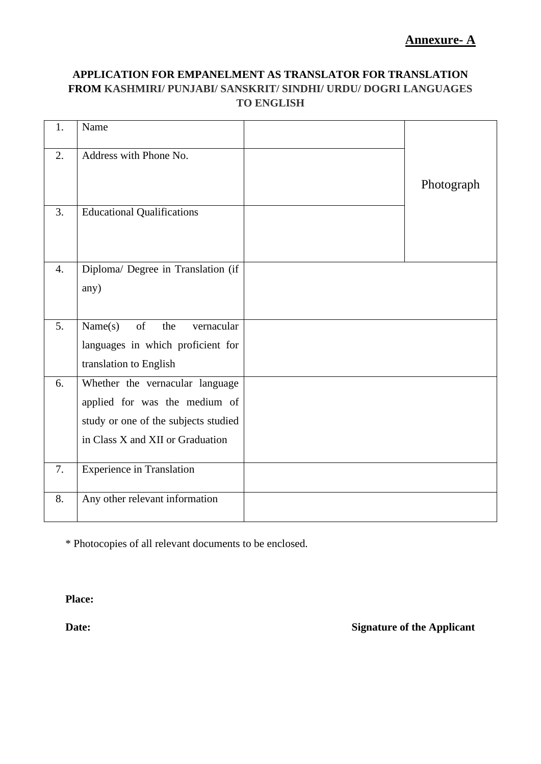## **APPLICATION FOR EMPANELMENT AS TRANSLATOR FOR TRANSLATION FROM KASHMIRI/ PUNJABI/ SANSKRIT/ SINDHI/ URDU/ DOGRI LANGUAGES TO ENGLISH**

| 1.               | Name                                 |            |
|------------------|--------------------------------------|------------|
|                  |                                      |            |
| 2.               | Address with Phone No.               |            |
|                  |                                      |            |
|                  |                                      | Photograph |
|                  |                                      |            |
| 3.               | <b>Educational Qualifications</b>    |            |
|                  |                                      |            |
|                  |                                      |            |
|                  |                                      |            |
| $\overline{4}$ . | Diploma/ Degree in Translation (if   |            |
|                  |                                      |            |
|                  | any)                                 |            |
|                  |                                      |            |
|                  |                                      |            |
| 5.               | of<br>Name(s)<br>the<br>vernacular   |            |
|                  | languages in which proficient for    |            |
|                  |                                      |            |
|                  | translation to English               |            |
| 6.               | Whether the vernacular language      |            |
|                  | applied for was the medium of        |            |
|                  |                                      |            |
|                  | study or one of the subjects studied |            |
|                  | in Class X and XII or Graduation     |            |
|                  |                                      |            |
| 7.               | <b>Experience in Translation</b>     |            |
|                  |                                      |            |
|                  |                                      |            |
| 8.               | Any other relevant information       |            |
|                  |                                      |            |

\* Photocopies of all relevant documents to be enclosed.

**Place:**

**Date:** Signature of the Applicant